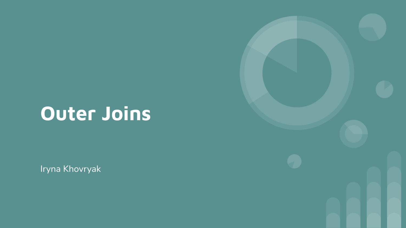# **Outer Joins**

Iryna Khovryak

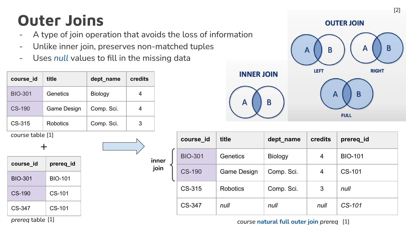## **Outer Joins**

- A type of join operation that avoids the loss of information

**inner join**

- Unlike inner join, preserves non-matched tuples
- Uses *null* values to fill in the missing data

| course_id        | title           | dept_name  | credits |
|------------------|-----------------|------------|---------|
| <b>BIO-301</b>   | Genetics        | Biology    | 4       |
| CS-190           | Game Design     | Comp. Sci. | 4       |
| CS-315           | <b>Robotics</b> | Comp. Sci. | 3       |
| course table [1] |                 |            |         |
|                  | ┿               |            |         |
| course_id        | prereq_id       |            |         |
| <b>BIO-301</b>   | <b>BIO-101</b>  |            |         |
| <b>CS-190</b>    | CS-101          |            |         |
| CS-347           | CS-101          |            |         |
|                  |                 |            |         |



| course_id      | title       | dept name  | credits | prereq_id      |
|----------------|-------------|------------|---------|----------------|
| <b>BIO-301</b> | Genetics    | Biology    | 4       | <b>BIO-101</b> |
| <b>CS-190</b>  | Game Design | Comp. Sci. | 4       | CS-101         |
| CS-315         | Robotics    | Comp. Sci. | 3       | null           |
| CS-347         | null        | null       | null    | CS-101         |

### *course* **natural full outer join** *prereq* [1] [1]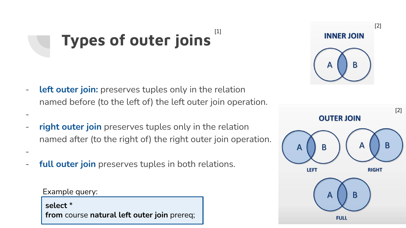## **Types of outer joins** [1]

- **left outer join:** preserves tuples only in the relation named before (to the left of) the left outer join operation.
- **right outer join** preserves tuples only in the relation named after (to the right of) the right outer join operation.
- full outer join preserves tuples in both relations.

### Example query:

-

-

**select** \* **from** course **natural left outer join** prereq;



**INNER JOIN** 

B

[2]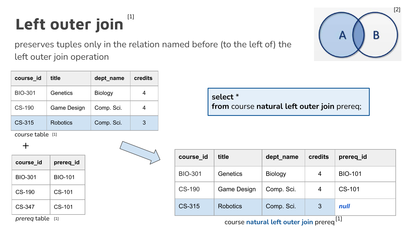### **Left outer join** [1]

preserves tuples only in the relation named before (to the left of) the left outer join operation

**course\_id title dept\_name credits** BIO-301 Genetics Biology | 4 CS-190 Game Design Comp. Sci. 4 CS-315 Robotics Comp. Sci. 3

*course* table [1]

 $+$ 

| course_id           | prereq_id      |
|---------------------|----------------|
| BIO-301             | <b>BIO-101</b> |
| CS-190              | CS-101         |
| CS-347              | CS-101         |
| <i>prereg</i> table | [1]            |

**select** \* **from** course **natural left outer join** prereq;

| course_id      | title           | dept_name      | credits | prereq id      |
|----------------|-----------------|----------------|---------|----------------|
| <b>BIO-301</b> | Genetics        | <b>Biology</b> | 4       | <b>BIO-101</b> |
| <b>CS-190</b>  | Game Design     | Comp. Sci.     | 4       | CS-101         |
| CS-315         | <b>Robotics</b> | Comp. Sci.     | 3       | null           |

<sup>[1]</sup> course natural left outer join prereq<sup>[1]</sup>

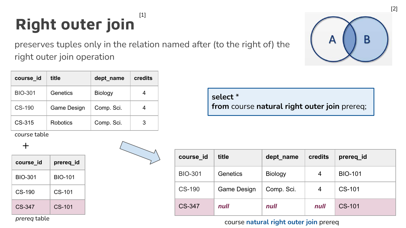## **Right outer join** [1]

preserves tuples only in the relation named after (to the right of) the right outer join operation

| course_id      | title       | dept_name  | credits |
|----------------|-------------|------------|---------|
| <b>BIO-301</b> | Genetics    | Biology    |         |
| CS-190         | Game Design | Comp. Sci. |         |
| CS-315         | Robotics    | Comp. Sci. | З       |

*course* table

 $+$ 

| course id | prereq_id      |
|-----------|----------------|
| BIO-301   | <b>BIO-101</b> |
| $CS-190$  | $CS-101$       |
| $CS-347$  | $CS-101$       |

*prereq* table

**select** \* **from** course **natural right outer join** prereq;

| course_id      | title       | dept_name  | credits | prereq_id      |
|----------------|-------------|------------|---------|----------------|
| <b>BIO-301</b> | Genetics    | Biology    | 4       | <b>BIO-101</b> |
| <b>CS-190</b>  | Game Design | Comp. Sci. | 4       | CS-101         |
| <b>CS-347</b>  | null        | null       | null    | CS-101         |

### course **natural right outer join** prereq

| B |  |
|---|--|
|   |  |

[2]

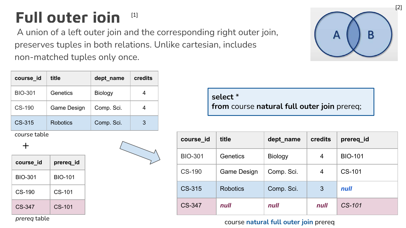## Full outer ioin<sup>[1]</sup>

 A union of a left outer join and the corresponding right outer join, preserves tuples in both relations. Unlike cartesian, includes non-matched tuples only once.



| course_id      | title       | dept_name  | credits |
|----------------|-------------|------------|---------|
| <b>BIO-301</b> | Genetics    | Biology    |         |
| CS-190         | Game Design | Comp. Sci. |         |
| CS-315         | Robotics    | Comp. Sci. | 3       |

*course* table

*prereq* table

### $+$

| course_id | prereq_id      |
|-----------|----------------|
| BIO-301   | <b>BIO-101</b> |
| $CS-190$  | $CS-101$       |
| $CS-347$  | $CS-101$       |



**select** \* **from** course **natural full outer join** prereq;

| course_id      | title           | dept name      | credits | prereq_id      |
|----------------|-----------------|----------------|---------|----------------|
| <b>BIO-301</b> | Genetics        | <b>Biology</b> | 4       | <b>BIO-101</b> |
| <b>CS-190</b>  | Game Design     | Comp. Sci.     | 4       | CS-101         |
| CS-315         | <b>Robotics</b> | Comp. Sci.     | 3       | null           |
| <b>CS-347</b>  | null            | null           | null    | $CS-101$       |

### course **natural full outer join** prereq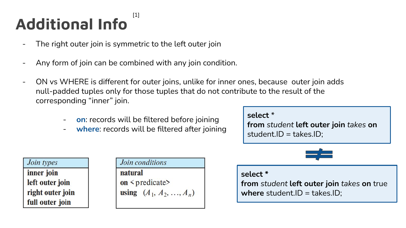### **Additional Info** [1]

- The right outer join is symmetric to the left outer join
- Any form of join can be combined with any join condition.
- ON vs WHERE is different for outer joins, unlike for inner ones, because outer join adds null-padded tuples only for those tuples that do not contribute to the result of the corresponding "inner" join.
	- **on**: records will be filtered before joining
	- where: records will be filtered after joining

#### **select** \*

**from** *student* **left outer join** *takes* **on**  student.ID = takes.ID;



|         | Join conditions                  |
|---------|----------------------------------|
| natural |                                  |
|         | on <predicate></predicate>       |
|         | <b>using</b> $(A_1, A_2, , A_n)$ |
|         |                                  |



#### **select \***

**from** *student* **left outer join** *takes* **on** true where student.ID = takes.ID: